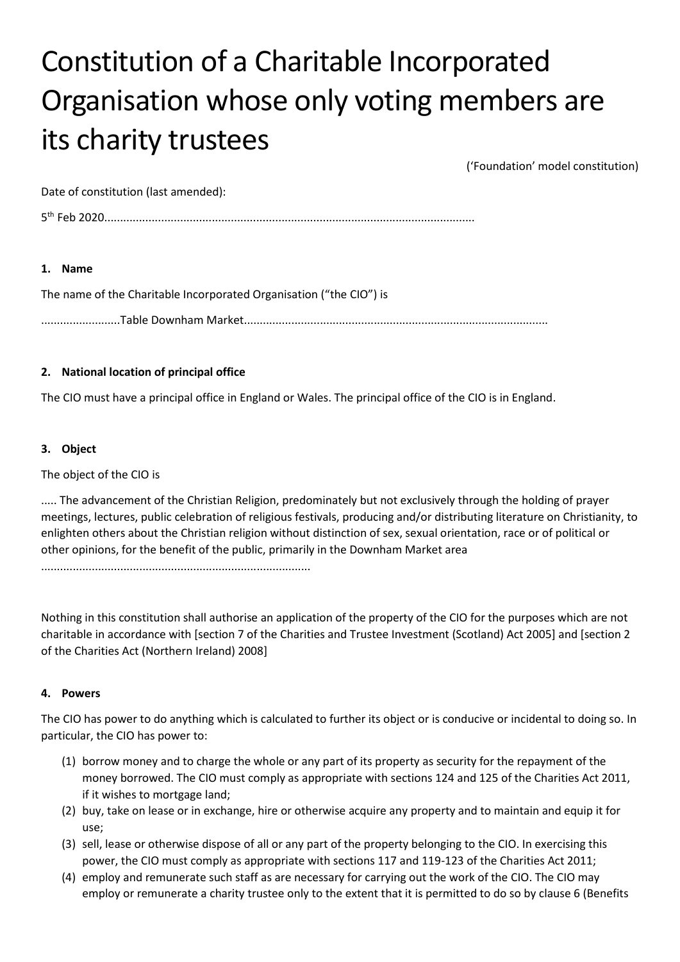# Constitution of a Charitable Incorporated Organisation whose only voting members are its charity trustees

('Foundation' model constitution)

Date of constitution (last amended):

5 th Feb 2020.....................................................................................................................

# **1. Name**

The name of the Charitable Incorporated Organisation ("the CIO") is .........................Table Downham Market................................................................................................

# **2. National location of principal office**

The CIO must have a principal office in England or Wales. The principal office of the CIO is in England.

# **3. Object**

The object of the CIO is

..... The advancement of the Christian Religion, predominately but not exclusively through the holding of prayer meetings, lectures, public celebration of religious festivals, producing and/or distributing literature on Christianity, to enlighten others about the Christian religion without distinction of sex, sexual orientation, race or of political or other opinions, for the benefit of the public, primarily in the Downham Market area

.....................................................................................

Nothing in this constitution shall authorise an application of the property of the CIO for the purposes which are not charitable in accordance with [section 7 of the Charities and Trustee Investment (Scotland) Act 2005] and [section 2 of the Charities Act (Northern Ireland) 2008]

# **4. Powers**

The CIO has power to do anything which is calculated to further its object or is conducive or incidental to doing so. In particular, the CIO has power to:

- (1) borrow money and to charge the whole or any part of its property as security for the repayment of the money borrowed. The CIO must comply as appropriate with sections 124 and 125 of the Charities Act 2011, if it wishes to mortgage land;
- (2) buy, take on lease or in exchange, hire or otherwise acquire any property and to maintain and equip it for use;
- (3) sell, lease or otherwise dispose of all or any part of the property belonging to the CIO. In exercising this power, the CIO must comply as appropriate with sections 117 and 119-123 of the Charities Act 2011;
- (4) employ and remunerate such staff as are necessary for carrying out the work of the CIO. The CIO may employ or remunerate a charity trustee only to the extent that it is permitted to do so by clause 6 (Benefits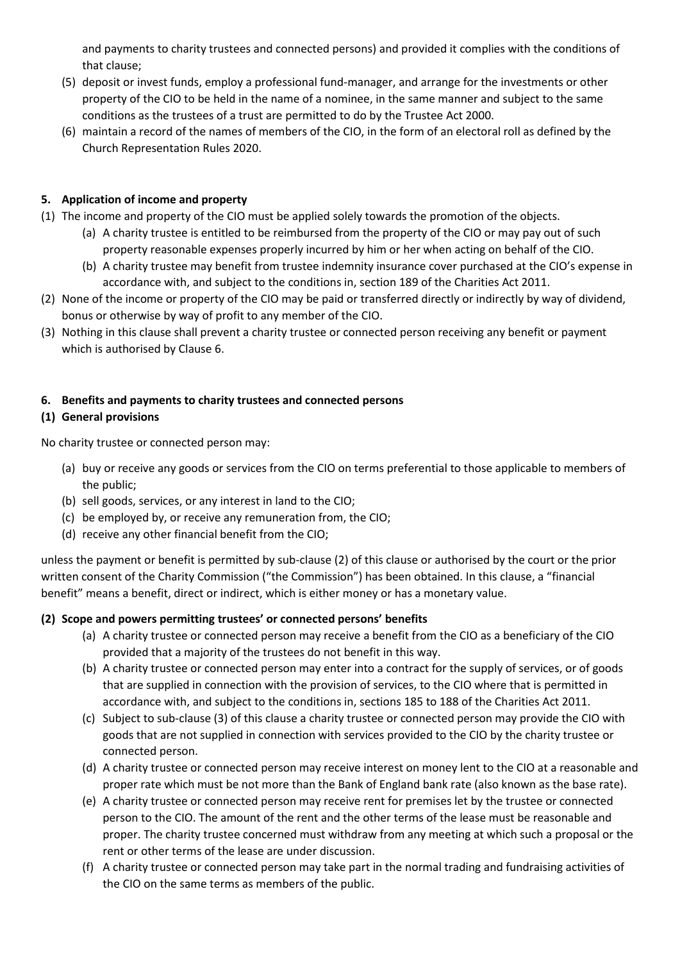and payments to charity trustees and connected persons) and provided it complies with the conditions of that clause;

- (5) deposit or invest funds, employ a professional fund-manager, and arrange for the investments or other property of the CIO to be held in the name of a nominee, in the same manner and subject to the same conditions as the trustees of a trust are permitted to do by the Trustee Act 2000.
- (6) maintain a record of the names of members of the CIO, in the form of an electoral roll as defined by the Church Representation Rules 2020.

# **5. Application of income and property**

- (1) The income and property of the CIO must be applied solely towards the promotion of the objects.
	- (a) A charity trustee is entitled to be reimbursed from the property of the CIO or may pay out of such property reasonable expenses properly incurred by him or her when acting on behalf of the CIO.
	- (b) A charity trustee may benefit from trustee indemnity insurance cover purchased at the CIO's expense in accordance with, and subject to the conditions in, section 189 of the Charities Act 2011.
- (2) None of the income or property of the CIO may be paid or transferred directly or indirectly by way of dividend, bonus or otherwise by way of profit to any member of the CIO.
- (3) Nothing in this clause shall prevent a charity trustee or connected person receiving any benefit or payment which is authorised by Clause 6.

# **6. Benefits and payments to charity trustees and connected persons**

# **(1) General provisions**

No charity trustee or connected person may:

- (a) buy or receive any goods or services from the CIO on terms preferential to those applicable to members of the public;
- (b) sell goods, services, or any interest in land to the CIO;
- (c) be employed by, or receive any remuneration from, the CIO;
- (d) receive any other financial benefit from the CIO;

unless the payment or benefit is permitted by sub-clause (2) of this clause or authorised by the court or the prior written consent of the Charity Commission ("the Commission") has been obtained. In this clause, a "financial benefit" means a benefit, direct or indirect, which is either money or has a monetary value.

# **(2) Scope and powers permitting trustees' or connected persons' benefits**

- (a) A charity trustee or connected person may receive a benefit from the CIO as a beneficiary of the CIO provided that a majority of the trustees do not benefit in this way.
- (b) A charity trustee or connected person may enter into a contract for the supply of services, or of goods that are supplied in connection with the provision of services, to the CIO where that is permitted in accordance with, and subject to the conditions in, sections 185 to 188 of the Charities Act 2011.
- (c) Subject to sub-clause (3) of this clause a charity trustee or connected person may provide the CIO with goods that are not supplied in connection with services provided to the CIO by the charity trustee or connected person.
- (d) A charity trustee or connected person may receive interest on money lent to the CIO at a reasonable and proper rate which must be not more than the Bank of England bank rate (also known as the base rate).
- (e) A charity trustee or connected person may receive rent for premises let by the trustee or connected person to the CIO. The amount of the rent and the other terms of the lease must be reasonable and proper. The charity trustee concerned must withdraw from any meeting at which such a proposal or the rent or other terms of the lease are under discussion.
- (f) A charity trustee or connected person may take part in the normal trading and fundraising activities of the CIO on the same terms as members of the public.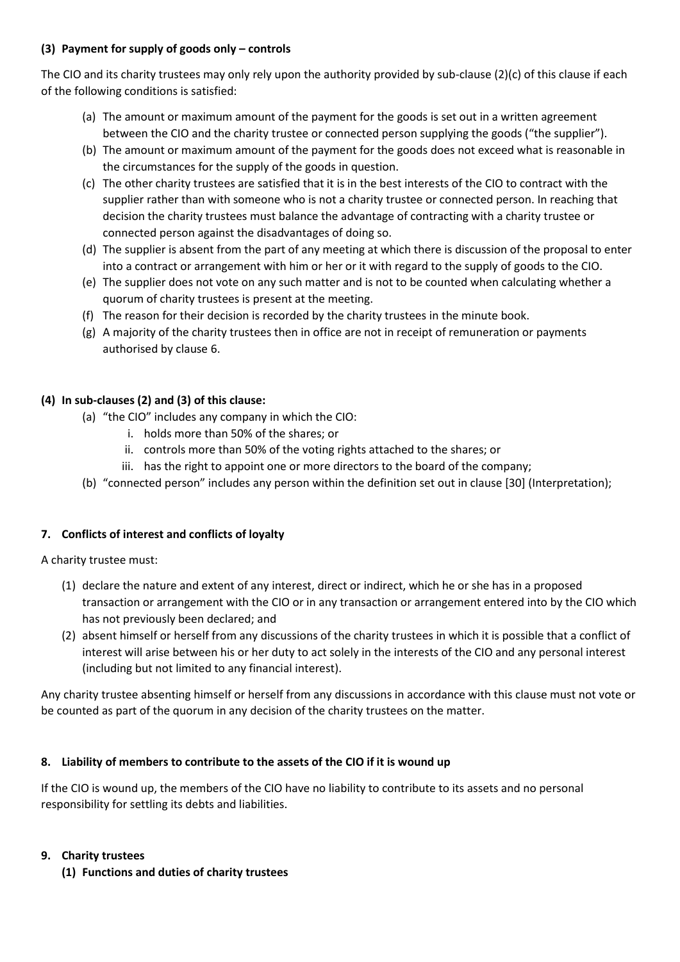# **(3) Payment for supply of goods only – controls**

The CIO and its charity trustees may only rely upon the authority provided by sub-clause (2)(c) of this clause if each of the following conditions is satisfied:

- (a) The amount or maximum amount of the payment for the goods is set out in a written agreement between the CIO and the charity trustee or connected person supplying the goods ("the supplier").
- (b) The amount or maximum amount of the payment for the goods does not exceed what is reasonable in the circumstances for the supply of the goods in question.
- (c) The other charity trustees are satisfied that it is in the best interests of the CIO to contract with the supplier rather than with someone who is not a charity trustee or connected person. In reaching that decision the charity trustees must balance the advantage of contracting with a charity trustee or connected person against the disadvantages of doing so.
- (d) The supplier is absent from the part of any meeting at which there is discussion of the proposal to enter into a contract or arrangement with him or her or it with regard to the supply of goods to the CIO.
- (e) The supplier does not vote on any such matter and is not to be counted when calculating whether a quorum of charity trustees is present at the meeting.
- (f) The reason for their decision is recorded by the charity trustees in the minute book.
- (g) A majority of the charity trustees then in office are not in receipt of remuneration or payments authorised by clause 6.

# **(4) In sub-clauses (2) and (3) of this clause:**

- (a) "the CIO" includes any company in which the CIO:
	- i. holds more than 50% of the shares; or
	- ii. controls more than 50% of the voting rights attached to the shares; or
	- iii. has the right to appoint one or more directors to the board of the company;
- (b) "connected person" includes any person within the definition set out in clause [30] (Interpretation);

# **7. Conflicts of interest and conflicts of loyalty**

A charity trustee must:

- (1) declare the nature and extent of any interest, direct or indirect, which he or she has in a proposed transaction or arrangement with the CIO or in any transaction or arrangement entered into by the CIO which has not previously been declared; and
- (2) absent himself or herself from any discussions of the charity trustees in which it is possible that a conflict of interest will arise between his or her duty to act solely in the interests of the CIO and any personal interest (including but not limited to any financial interest).

Any charity trustee absenting himself or herself from any discussions in accordance with this clause must not vote or be counted as part of the quorum in any decision of the charity trustees on the matter.

# **8. Liability of members to contribute to the assets of the CIO if it is wound up**

If the CIO is wound up, the members of the CIO have no liability to contribute to its assets and no personal responsibility for settling its debts and liabilities.

# **9. Charity trustees**

**(1) Functions and duties of charity trustees**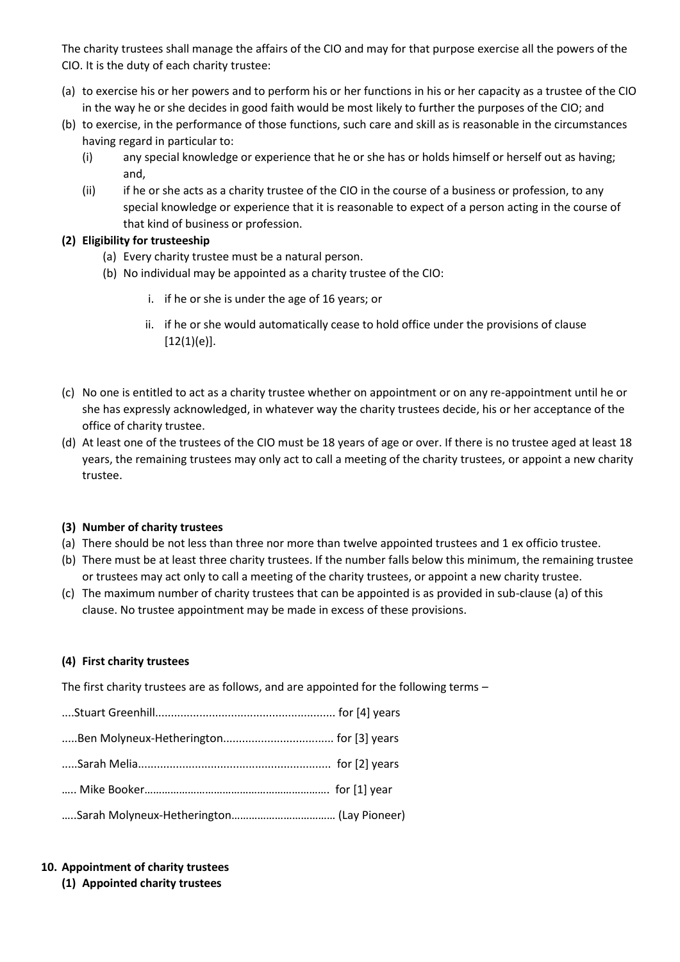The charity trustees shall manage the affairs of the CIO and may for that purpose exercise all the powers of the CIO. It is the duty of each charity trustee:

- (a) to exercise his or her powers and to perform his or her functions in his or her capacity as a trustee of the CIO in the way he or she decides in good faith would be most likely to further the purposes of the CIO; and
- (b) to exercise, in the performance of those functions, such care and skill as is reasonable in the circumstances having regard in particular to:
	- (i) any special knowledge or experience that he or she has or holds himself or herself out as having; and,
	- (ii) if he or she acts as a charity trustee of the CIO in the course of a business or profession, to any special knowledge or experience that it is reasonable to expect of a person acting in the course of that kind of business or profession.

# **(2) Eligibility for trusteeship**

- (a) Every charity trustee must be a natural person.
- (b) No individual may be appointed as a charity trustee of the CIO:
	- i. if he or she is under the age of 16 years; or
	- ii. if he or she would automatically cease to hold office under the provisions of clause  $[12(1)(e)].$
- (c) No one is entitled to act as a charity trustee whether on appointment or on any re-appointment until he or she has expressly acknowledged, in whatever way the charity trustees decide, his or her acceptance of the office of charity trustee.
- (d) At least one of the trustees of the CIO must be 18 years of age or over. If there is no trustee aged at least 18 years, the remaining trustees may only act to call a meeting of the charity trustees, or appoint a new charity trustee.

# **(3) Number of charity trustees**

- (a) There should be not less than three nor more than twelve appointed trustees and 1 ex officio trustee.
- (b) There must be at least three charity trustees. If the number falls below this minimum, the remaining trustee or trustees may act only to call a meeting of the charity trustees, or appoint a new charity trustee.
- (c) The maximum number of charity trustees that can be appointed is as provided in sub-clause (a) of this clause. No trustee appointment may be made in excess of these provisions.

# **(4) First charity trustees**

The first charity trustees are as follows, and are appointed for the following terms –

# **10. Appointment of charity trustees**

**(1) Appointed charity trustees**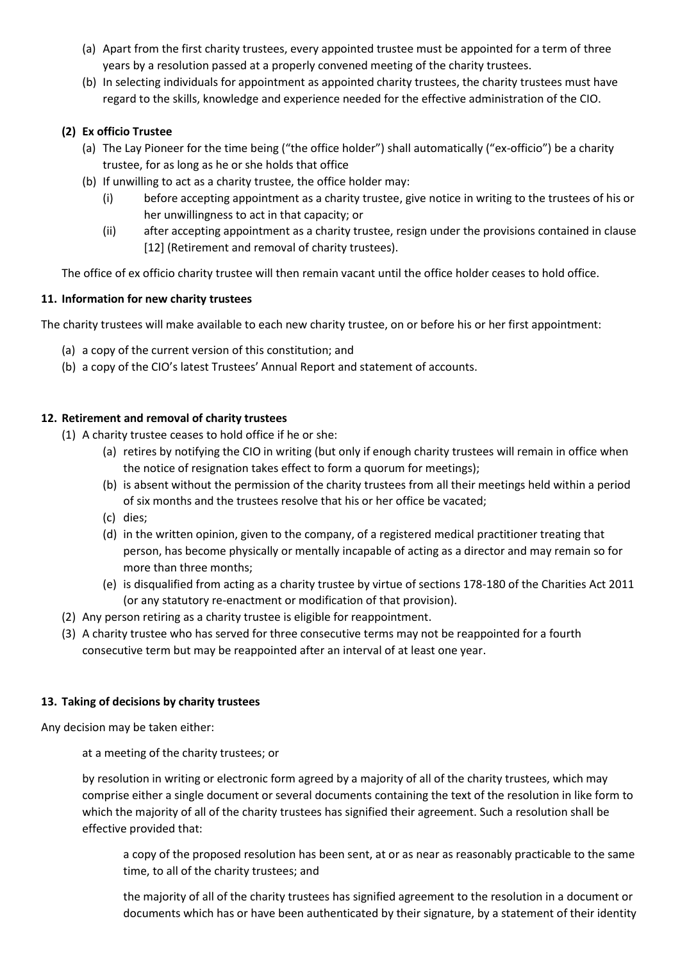- (a) Apart from the first charity trustees, every appointed trustee must be appointed for a term of three years by a resolution passed at a properly convened meeting of the charity trustees.
- (b) In selecting individuals for appointment as appointed charity trustees, the charity trustees must have regard to the skills, knowledge and experience needed for the effective administration of the CIO.

# **(2) Ex officio Trustee**

- (a) The Lay Pioneer for the time being ("the office holder") shall automatically ("ex-officio") be a charity trustee, for as long as he or she holds that office
- (b) If unwilling to act as a charity trustee, the office holder may:
	- (i) before accepting appointment as a charity trustee, give notice in writing to the trustees of his or her unwillingness to act in that capacity; or
	- (ii) after accepting appointment as a charity trustee, resign under the provisions contained in clause [12] (Retirement and removal of charity trustees).

The office of ex officio charity trustee will then remain vacant until the office holder ceases to hold office.

# **11. Information for new charity trustees**

The charity trustees will make available to each new charity trustee, on or before his or her first appointment:

- (a) a copy of the current version of this constitution; and
- (b) a copy of the CIO's latest Trustees' Annual Report and statement of accounts.

# **12. Retirement and removal of charity trustees**

- (1) A charity trustee ceases to hold office if he or she:
	- (a) retires by notifying the CIO in writing (but only if enough charity trustees will remain in office when the notice of resignation takes effect to form a quorum for meetings);
	- (b) is absent without the permission of the charity trustees from all their meetings held within a period of six months and the trustees resolve that his or her office be vacated;
	- (c) dies;
	- (d) in the written opinion, given to the company, of a registered medical practitioner treating that person, has become physically or mentally incapable of acting as a director and may remain so for more than three months;
	- (e) is disqualified from acting as a charity trustee by virtue of sections 178-180 of the Charities Act 2011 (or any statutory re-enactment or modification of that provision).
- (2) Any person retiring as a charity trustee is eligible for reappointment.
- (3) A charity trustee who has served for three consecutive terms may not be reappointed for a fourth consecutive term but may be reappointed after an interval of at least one year.

#### **13. Taking of decisions by charity trustees**

Any decision may be taken either:

at a meeting of the charity trustees; or

by resolution in writing or electronic form agreed by a majority of all of the charity trustees, which may comprise either a single document or several documents containing the text of the resolution in like form to which the majority of all of the charity trustees has signified their agreement. Such a resolution shall be effective provided that:

a copy of the proposed resolution has been sent, at or as near as reasonably practicable to the same time, to all of the charity trustees; and

the majority of all of the charity trustees has signified agreement to the resolution in a document or documents which has or have been authenticated by their signature, by a statement of their identity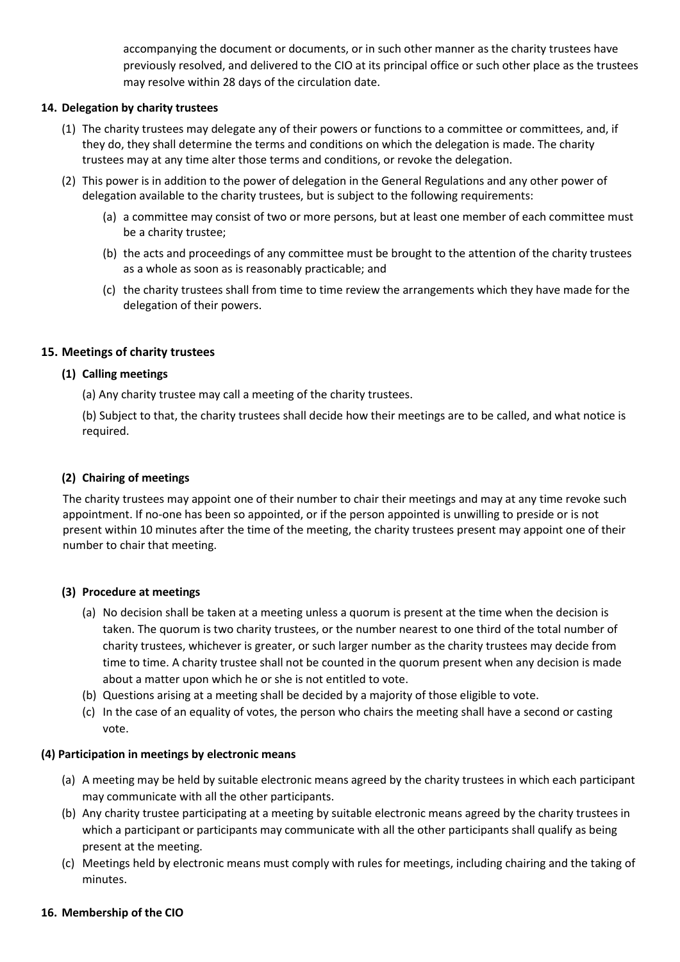accompanying the document or documents, or in such other manner as the charity trustees have previously resolved, and delivered to the CIO at its principal office or such other place as the trustees may resolve within 28 days of the circulation date.

## **14. Delegation by charity trustees**

- (1) The charity trustees may delegate any of their powers or functions to a committee or committees, and, if they do, they shall determine the terms and conditions on which the delegation is made. The charity trustees may at any time alter those terms and conditions, or revoke the delegation.
- (2) This power is in addition to the power of delegation in the General Regulations and any other power of delegation available to the charity trustees, but is subject to the following requirements:
	- (a) a committee may consist of two or more persons, but at least one member of each committee must be a charity trustee;
	- (b) the acts and proceedings of any committee must be brought to the attention of the charity trustees as a whole as soon as is reasonably practicable; and
	- (c) the charity trustees shall from time to time review the arrangements which they have made for the delegation of their powers.

# **15. Meetings of charity trustees**

## **(1) Calling meetings**

(a) Any charity trustee may call a meeting of the charity trustees.

(b) Subject to that, the charity trustees shall decide how their meetings are to be called, and what notice is required.

## **(2) Chairing of meetings**

The charity trustees may appoint one of their number to chair their meetings and may at any time revoke such appointment. If no-one has been so appointed, or if the person appointed is unwilling to preside or is not present within 10 minutes after the time of the meeting, the charity trustees present may appoint one of their number to chair that meeting.

#### **(3) Procedure at meetings**

- (a) No decision shall be taken at a meeting unless a quorum is present at the time when the decision is taken. The quorum is two charity trustees, or the number nearest to one third of the total number of charity trustees, whichever is greater, or such larger number as the charity trustees may decide from time to time. A charity trustee shall not be counted in the quorum present when any decision is made about a matter upon which he or she is not entitled to vote.
- (b) Questions arising at a meeting shall be decided by a majority of those eligible to vote.
- (c) In the case of an equality of votes, the person who chairs the meeting shall have a second or casting vote.

#### **(4) Participation in meetings by electronic means**

- (a) A meeting may be held by suitable electronic means agreed by the charity trustees in which each participant may communicate with all the other participants.
- (b) Any charity trustee participating at a meeting by suitable electronic means agreed by the charity trustees in which a participant or participants may communicate with all the other participants shall qualify as being present at the meeting.
- (c) Meetings held by electronic means must comply with rules for meetings, including chairing and the taking of minutes.

#### **16. Membership of the CIO**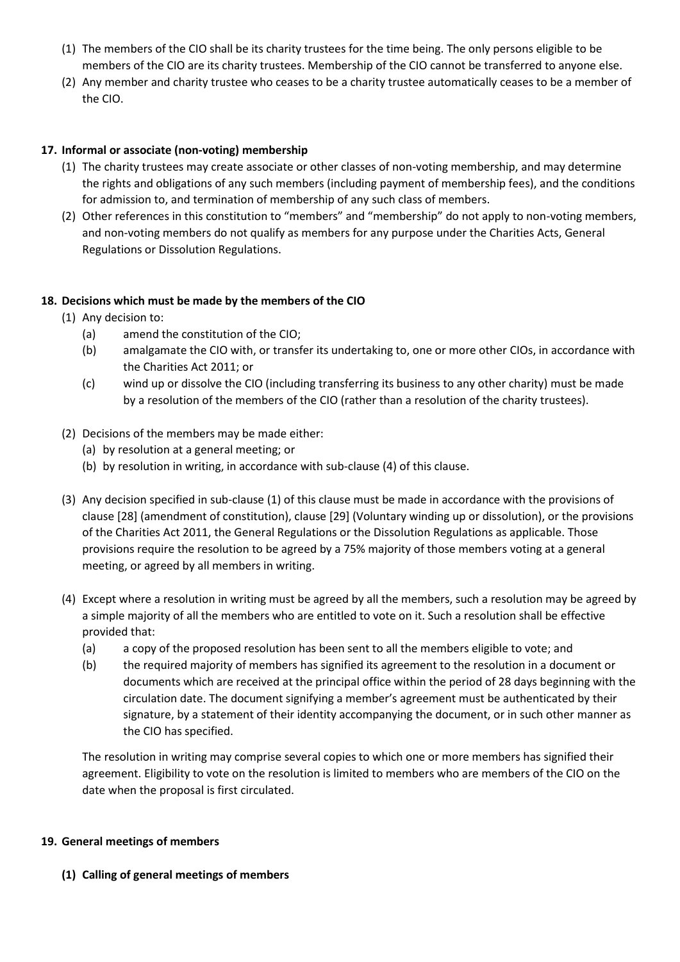- (1) The members of the CIO shall be its charity trustees for the time being. The only persons eligible to be members of the CIO are its charity trustees. Membership of the CIO cannot be transferred to anyone else.
- (2) Any member and charity trustee who ceases to be a charity trustee automatically ceases to be a member of the CIO.

# **17. Informal or associate (non-voting) membership**

- (1) The charity trustees may create associate or other classes of non-voting membership, and may determine the rights and obligations of any such members (including payment of membership fees), and the conditions for admission to, and termination of membership of any such class of members.
- (2) Other references in this constitution to "members" and "membership" do not apply to non-voting members, and non-voting members do not qualify as members for any purpose under the Charities Acts, General Regulations or Dissolution Regulations.

# **18. Decisions which must be made by the members of the CIO**

- (1) Any decision to:
	- (a) amend the constitution of the CIO;
	- (b) amalgamate the CIO with, or transfer its undertaking to, one or more other CIOs, in accordance with the Charities Act 2011; or
	- (c) wind up or dissolve the CIO (including transferring its business to any other charity) must be made by a resolution of the members of the CIO (rather than a resolution of the charity trustees).

# (2) Decisions of the members may be made either:

- (a) by resolution at a general meeting; or
- (b) by resolution in writing, in accordance with sub-clause (4) of this clause.
- (3) Any decision specified in sub-clause (1) of this clause must be made in accordance with the provisions of clause [28] (amendment of constitution), clause [29] (Voluntary winding up or dissolution), or the provisions of the Charities Act 2011, the General Regulations or the Dissolution Regulations as applicable. Those provisions require the resolution to be agreed by a 75% majority of those members voting at a general meeting, or agreed by all members in writing.
- (4) Except where a resolution in writing must be agreed by all the members, such a resolution may be agreed by a simple majority of all the members who are entitled to vote on it. Such a resolution shall be effective provided that:
	- (a) a copy of the proposed resolution has been sent to all the members eligible to vote; and
	- (b) the required majority of members has signified its agreement to the resolution in a document or documents which are received at the principal office within the period of 28 days beginning with the circulation date. The document signifying a member's agreement must be authenticated by their signature, by a statement of their identity accompanying the document, or in such other manner as the CIO has specified.

The resolution in writing may comprise several copies to which one or more members has signified their agreement. Eligibility to vote on the resolution is limited to members who are members of the CIO on the date when the proposal is first circulated.

# **19. General meetings of members**

**(1) Calling of general meetings of members**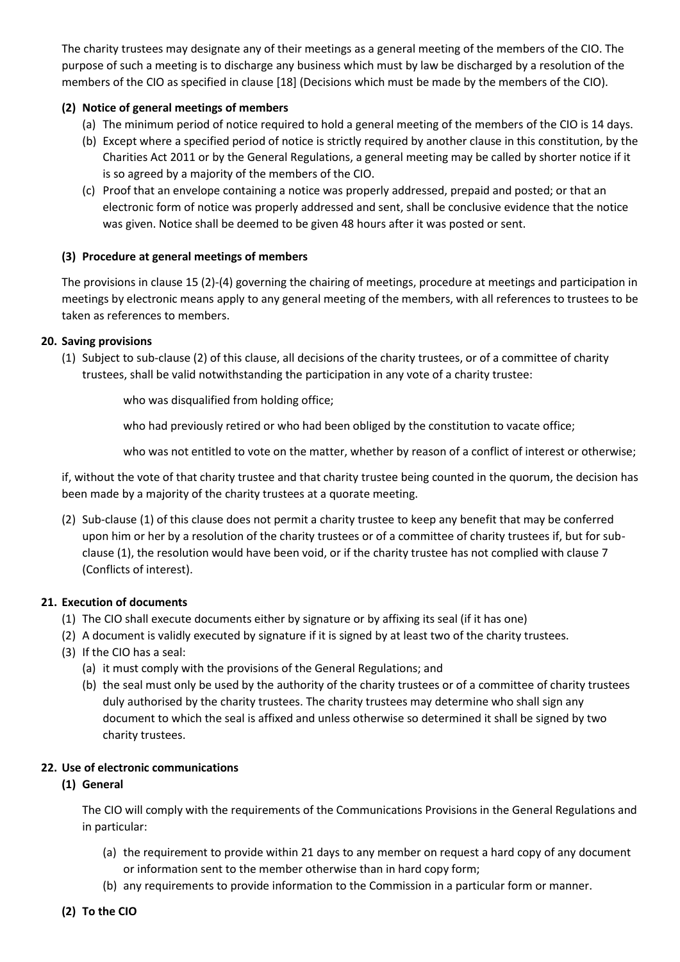The charity trustees may designate any of their meetings as a general meeting of the members of the CIO. The purpose of such a meeting is to discharge any business which must by law be discharged by a resolution of the members of the CIO as specified in clause [18] (Decisions which must be made by the members of the CIO).

# **(2) Notice of general meetings of members**

- (a) The minimum period of notice required to hold a general meeting of the members of the CIO is 14 days.
- (b) Except where a specified period of notice is strictly required by another clause in this constitution, by the Charities Act 2011 or by the General Regulations, a general meeting may be called by shorter notice if it is so agreed by a majority of the members of the CIO.
- (c) Proof that an envelope containing a notice was properly addressed, prepaid and posted; or that an electronic form of notice was properly addressed and sent, shall be conclusive evidence that the notice was given. Notice shall be deemed to be given 48 hours after it was posted or sent.

## **(3) Procedure at general meetings of members**

The provisions in clause 15 (2)-(4) governing the chairing of meetings, procedure at meetings and participation in meetings by electronic means apply to any general meeting of the members, with all references to trustees to be taken as references to members.

## **20. Saving provisions**

(1) Subject to sub-clause (2) of this clause, all decisions of the charity trustees, or of a committee of charity trustees, shall be valid notwithstanding the participation in any vote of a charity trustee:

who was disqualified from holding office;

who had previously retired or who had been obliged by the constitution to vacate office;

who was not entitled to vote on the matter, whether by reason of a conflict of interest or otherwise;

if, without the vote of that charity trustee and that charity trustee being counted in the quorum, the decision has been made by a majority of the charity trustees at a quorate meeting.

(2) Sub-clause (1) of this clause does not permit a charity trustee to keep any benefit that may be conferred upon him or her by a resolution of the charity trustees or of a committee of charity trustees if, but for subclause (1), the resolution would have been void, or if the charity trustee has not complied with clause 7 (Conflicts of interest).

# **21. Execution of documents**

- (1) The CIO shall execute documents either by signature or by affixing its seal (if it has one)
- (2) A document is validly executed by signature if it is signed by at least two of the charity trustees.
- (3) If the CIO has a seal:
	- (a) it must comply with the provisions of the General Regulations; and
	- (b) the seal must only be used by the authority of the charity trustees or of a committee of charity trustees duly authorised by the charity trustees. The charity trustees may determine who shall sign any document to which the seal is affixed and unless otherwise so determined it shall be signed by two charity trustees.

## **22. Use of electronic communications**

# **(1) General**

The CIO will comply with the requirements of the Communications Provisions in the General Regulations and in particular:

- (a) the requirement to provide within 21 days to any member on request a hard copy of any document or information sent to the member otherwise than in hard copy form;
- (b) any requirements to provide information to the Commission in a particular form or manner.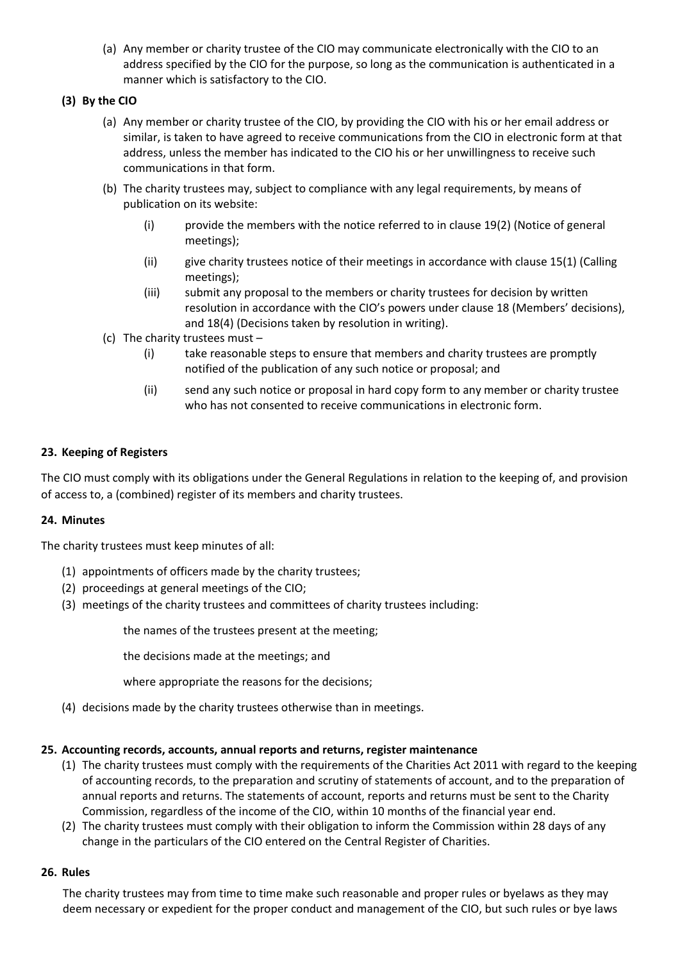- (a) Any member or charity trustee of the CIO may communicate electronically with the CIO to an address specified by the CIO for the purpose, so long as the communication is authenticated in a manner which is satisfactory to the CIO.
- **(3) By the CIO** 
	- (a) Any member or charity trustee of the CIO, by providing the CIO with his or her email address or similar, is taken to have agreed to receive communications from the CIO in electronic form at that address, unless the member has indicated to the CIO his or her unwillingness to receive such communications in that form.
	- (b) The charity trustees may, subject to compliance with any legal requirements, by means of publication on its website:
		- (i) provide the members with the notice referred to in clause 19(2) (Notice of general meetings);
		- (ii) give charity trustees notice of their meetings in accordance with clause 15(1) (Calling meetings);
		- (iii) submit any proposal to the members or charity trustees for decision by written resolution in accordance with the CIO's powers under clause 18 (Members' decisions), and 18(4) (Decisions taken by resolution in writing).
	- (c) The charity trustees must
		- (i) take reasonable steps to ensure that members and charity trustees are promptly notified of the publication of any such notice or proposal; and
		- (ii) send any such notice or proposal in hard copy form to any member or charity trustee who has not consented to receive communications in electronic form.

## **23. Keeping of Registers**

The CIO must comply with its obligations under the General Regulations in relation to the keeping of, and provision of access to, a (combined) register of its members and charity trustees.

#### **24. Minutes**

The charity trustees must keep minutes of all:

- (1) appointments of officers made by the charity trustees;
- (2) proceedings at general meetings of the CIO;
- (3) meetings of the charity trustees and committees of charity trustees including:

the names of the trustees present at the meeting;

the decisions made at the meetings; and

where appropriate the reasons for the decisions;

(4) decisions made by the charity trustees otherwise than in meetings.

#### **25. Accounting records, accounts, annual reports and returns, register maintenance**

- (1) The charity trustees must comply with the requirements of the Charities Act 2011 with regard to the keeping of accounting records, to the preparation and scrutiny of statements of account, and to the preparation of annual reports and returns. The statements of account, reports and returns must be sent to the Charity Commission, regardless of the income of the CIO, within 10 months of the financial year end.
- (2) The charity trustees must comply with their obligation to inform the Commission within 28 days of any change in the particulars of the CIO entered on the Central Register of Charities.

#### **26. Rules**

The charity trustees may from time to time make such reasonable and proper rules or byelaws as they may deem necessary or expedient for the proper conduct and management of the CIO, but such rules or bye laws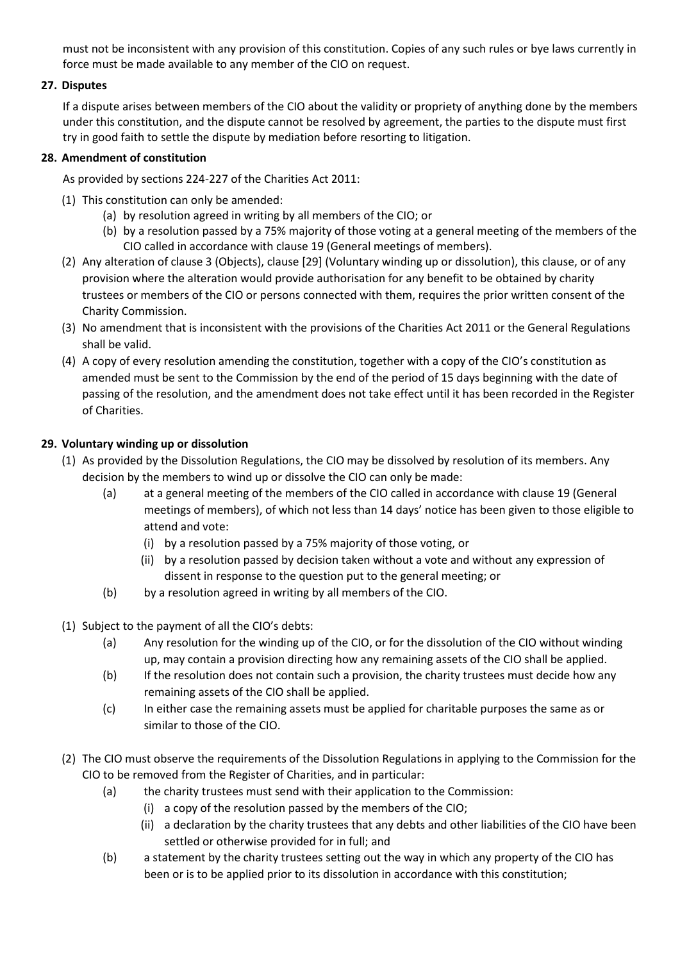must not be inconsistent with any provision of this constitution. Copies of any such rules or bye laws currently in force must be made available to any member of the CIO on request.

# **27. Disputes**

If a dispute arises between members of the CIO about the validity or propriety of anything done by the members under this constitution, and the dispute cannot be resolved by agreement, the parties to the dispute must first try in good faith to settle the dispute by mediation before resorting to litigation.

# **28. Amendment of constitution**

As provided by sections 224-227 of the Charities Act 2011:

- (1) This constitution can only be amended:
	- (a) by resolution agreed in writing by all members of the CIO; or
	- (b) by a resolution passed by a 75% majority of those voting at a general meeting of the members of the CIO called in accordance with clause 19 (General meetings of members).
- (2) Any alteration of clause 3 (Objects), clause [29] (Voluntary winding up or dissolution), this clause, or of any provision where the alteration would provide authorisation for any benefit to be obtained by charity trustees or members of the CIO or persons connected with them, requires the prior written consent of the Charity Commission.
- (3) No amendment that is inconsistent with the provisions of the Charities Act 2011 or the General Regulations shall be valid.
- (4) A copy of every resolution amending the constitution, together with a copy of the CIO's constitution as amended must be sent to the Commission by the end of the period of 15 days beginning with the date of passing of the resolution, and the amendment does not take effect until it has been recorded in the Register of Charities.

# **29. Voluntary winding up or dissolution**

- (1) As provided by the Dissolution Regulations, the CIO may be dissolved by resolution of its members. Any decision by the members to wind up or dissolve the CIO can only be made:
	- (a) at a general meeting of the members of the CIO called in accordance with clause 19 (General meetings of members), of which not less than 14 days' notice has been given to those eligible to attend and vote:
		- (i) by a resolution passed by a 75% majority of those voting, or
		- (ii) by a resolution passed by decision taken without a vote and without any expression of dissent in response to the question put to the general meeting; or
	- (b) by a resolution agreed in writing by all members of the CIO.
- (1) Subject to the payment of all the CIO's debts:
	- (a) Any resolution for the winding up of the CIO, or for the dissolution of the CIO without winding up, may contain a provision directing how any remaining assets of the CIO shall be applied.
	- (b) If the resolution does not contain such a provision, the charity trustees must decide how any remaining assets of the CIO shall be applied.
	- (c) In either case the remaining assets must be applied for charitable purposes the same as or similar to those of the CIO.
- (2) The CIO must observe the requirements of the Dissolution Regulations in applying to the Commission for the CIO to be removed from the Register of Charities, and in particular:
	- (a) the charity trustees must send with their application to the Commission:
		- (i) a copy of the resolution passed by the members of the CIO;
		- (ii) a declaration by the charity trustees that any debts and other liabilities of the CIO have been settled or otherwise provided for in full; and
	- (b) a statement by the charity trustees setting out the way in which any property of the CIO has been or is to be applied prior to its dissolution in accordance with this constitution;